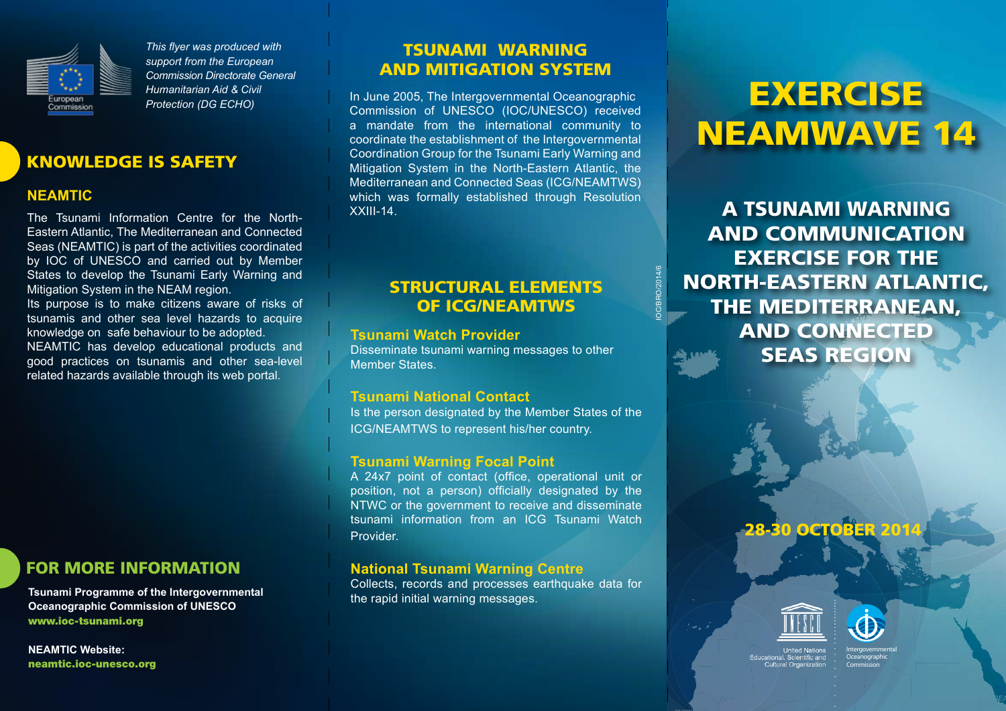

*This flyer was produced with support from the European Commission Directorate General Humanitarian Aid & Civil Protection (DG ECHO)*

#### Knowledge is safety

#### **NEAMTIC**

The Tsunami Information Centre for the North-Eastern Atlantic, The Mediterranean and Connected Seas (NEAMTIC) is part of the activities coordinated by IOC of UNESCO and carried out by Member States to develop the Tsunami Early Warning and Mitigation System in the NEAM region. Its purpose is to make citizens aware of risks of tsunamis and other sea level hazards to acquire

knowledge on safe behaviour to be adopted. NEAMTIC has develop educational products and good practices on tsunamis and other sea-level related hazards available through its web portal.

### For more information

**Tsunami Programme of the Intergovernmental Oceanographic Commission of UNESCO** [www.ioc-tsunami.org](http://www.ioc-tsunami.org)

**NEAMTIC Website:** [neamtic.ioc-unesco.org](http://neamtic.ioc-unesco.org/)

#### TSUNAMI WARNING AND MITIGATION SYSTEM

In June 2005, The Intergovernmental Oceanographic Commission of UNESCO (IOC/UNESCO) received a mandate from the international community to coordinate the establishment of the Intergovernmental Coordination Group for the Tsunami Early Warning and Mitigation System in the North-Eastern Atlantic, the Mediterranean and Connected Seas (ICG/NEAMTWS) which was formally established through Resolution XXIII-14.

### STRUCTURAL ELEMENTS OF ICG/NEAMTWS

IOC/BRO/2014/6

#### **Tsunami Watch Provider**

Disseminate tsunami warning messages to other Member States.

#### **Tsunami National Contact**

Is the person designated by the Member States of the ICG/NEAMTWS to represent his/her country.

#### **Tsunami Warning Focal Point**

A 24x7 point of contact (office, operational unit or position, not a person) officially designated by the NTWC or the government to receive and disseminate tsunami information from an ICG Tsunami Watch Provider.

#### **National Tsunami Warning Centre**

Collects, records and processes earthquake data for the rapid initial warning messages.

## **EXERCISE** NEAMWave 14

A Tsunami Warning and communication exercise for the north-eastern atlantic, the mediterranean, and connected seas region

### **28-30 OCTOBER 201**





Intergovernmental **Oceanographic** Commission